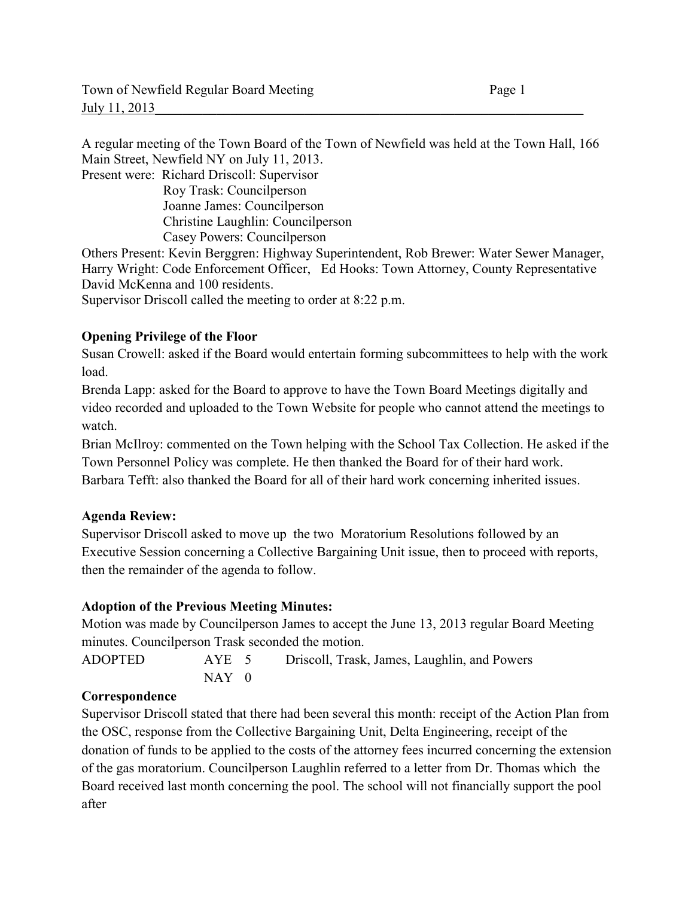A regular meeting of the Town Board of the Town of Newfield was held at the Town Hall, 166 Main Street, Newfield NY on July 11, 2013.

Present were: Richard Driscoll: Supervisor Roy Trask: Councilperson Joanne James: Councilperson Christine Laughlin: Councilperson Casey Powers: Councilperson

Others Present: Kevin Berggren: Highway Superintendent, Rob Brewer: Water Sewer Manager, Harry Wright: Code Enforcement Officer, Ed Hooks: Town Attorney, County Representative David McKenna and 100 residents.

Supervisor Driscoll called the meeting to order at 8:22 p.m.

## **Opening Privilege of the Floor**

Susan Crowell: asked if the Board would entertain forming subcommittees to help with the work load.

Brenda Lapp: asked for the Board to approve to have the Town Board Meetings digitally and video recorded and uploaded to the Town Website for people who cannot attend the meetings to watch.

Brian McIlroy: commented on the Town helping with the School Tax Collection. He asked if the Town Personnel Policy was complete. He then thanked the Board for of their hard work. Barbara Tefft: also thanked the Board for all of their hard work concerning inherited issues.

## **Agenda Review:**

Supervisor Driscoll asked to move up the two Moratorium Resolutions followed by an Executive Session concerning a Collective Bargaining Unit issue, then to proceed with reports, then the remainder of the agenda to follow.

#### **Adoption of the Previous Meeting Minutes:**

Motion was made by Councilperson James to accept the June 13, 2013 regular Board Meeting minutes. Councilperson Trask seconded the motion.

ADOPTED AYE 5 Driscoll, Trask, James, Laughlin, and Powers  $NAY$  0

#### **Correspondence**

Supervisor Driscoll stated that there had been several this month: receipt of the Action Plan from the OSC, response from the Collective Bargaining Unit, Delta Engineering, receipt of the donation of funds to be applied to the costs of the attorney fees incurred concerning the extension of the gas moratorium. Councilperson Laughlin referred to a letter from Dr. Thomas which the Board received last month concerning the pool. The school will not financially support the pool after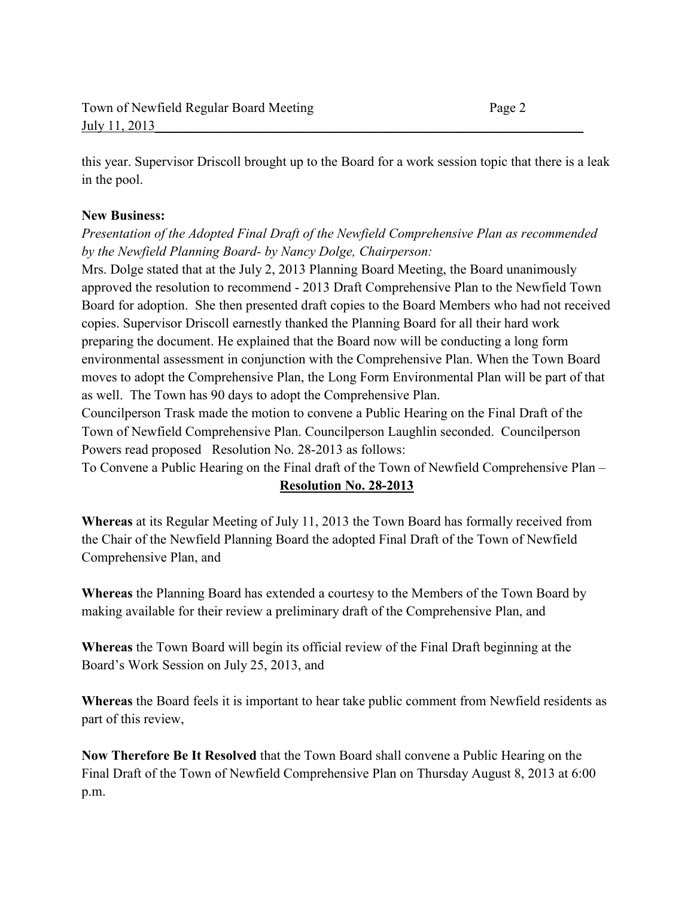this year. Supervisor Driscoll brought up to the Board for a work session topic that there is a leak in the pool.

#### **New Business:**

*Presentation of the Adopted Final Draft of the Newfield Comprehensive Plan as recommended by the Newfield Planning Board- by Nancy Dolge, Chairperson:* 

Mrs. Dolge stated that at the July 2, 2013 Planning Board Meeting, the Board unanimously approved the resolution to recommend - 2013 Draft Comprehensive Plan to the Newfield Town Board for adoption. She then presented draft copies to the Board Members who had not received copies. Supervisor Driscoll earnestly thanked the Planning Board for all their hard work preparing the document. He explained that the Board now will be conducting a long form environmental assessment in conjunction with the Comprehensive Plan. When the Town Board moves to adopt the Comprehensive Plan, the Long Form Environmental Plan will be part of that as well. The Town has 90 days to adopt the Comprehensive Plan.

Councilperson Trask made the motion to convene a Public Hearing on the Final Draft of the Town of Newfield Comprehensive Plan. Councilperson Laughlin seconded. Councilperson Powers read proposed Resolution No. 28-2013 as follows:

To Convene a Public Hearing on the Final draft of the Town of Newfield Comprehensive Plan –

## **Resolution No. 28-2013**

**Whereas** at its Regular Meeting of July 11, 2013 the Town Board has formally received from the Chair of the Newfield Planning Board the adopted Final Draft of the Town of Newfield Comprehensive Plan, and

**Whereas** the Planning Board has extended a courtesy to the Members of the Town Board by making available for their review a preliminary draft of the Comprehensive Plan, and

**Whereas** the Town Board will begin its official review of the Final Draft beginning at the Board's Work Session on July 25, 2013, and

**Whereas** the Board feels it is important to hear take public comment from Newfield residents as part of this review,

**Now Therefore Be It Resolved** that the Town Board shall convene a Public Hearing on the Final Draft of the Town of Newfield Comprehensive Plan on Thursday August 8, 2013 at 6:00 p.m.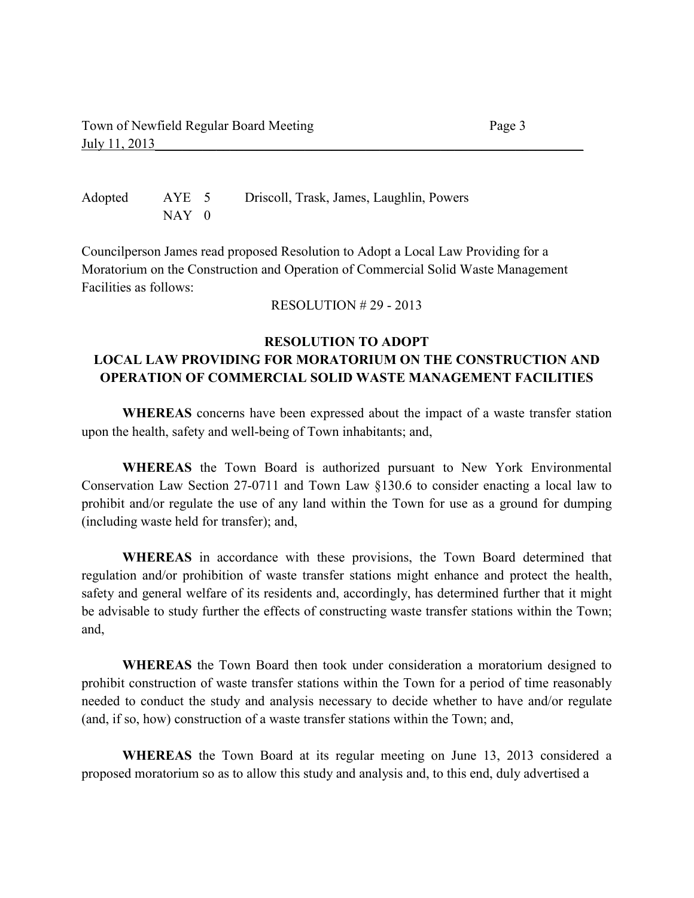Adopted AYE 5 Driscoll, Trask, James, Laughlin, Powers NAY 0

Councilperson James read proposed Resolution to Adopt a Local Law Providing for a Moratorium on the Construction and Operation of Commercial Solid Waste Management Facilities as follows:

RESOLUTION # 29 - 2013

## **RESOLUTION TO ADOPT LOCAL LAW PROVIDING FOR MORATORIUM ON THE CONSTRUCTION AND OPERATION OF COMMERCIAL SOLID WASTE MANAGEMENT FACILITIES**

**WHEREAS** concerns have been expressed about the impact of a waste transfer station upon the health, safety and well-being of Town inhabitants; and,

**WHEREAS** the Town Board is authorized pursuant to New York Environmental Conservation Law Section 27-0711 and Town Law §130.6 to consider enacting a local law to prohibit and/or regulate the use of any land within the Town for use as a ground for dumping (including waste held for transfer); and,

**WHEREAS** in accordance with these provisions, the Town Board determined that regulation and/or prohibition of waste transfer stations might enhance and protect the health, safety and general welfare of its residents and, accordingly, has determined further that it might be advisable to study further the effects of constructing waste transfer stations within the Town; and,

 **WHEREAS** the Town Board then took under consideration a moratorium designed to prohibit construction of waste transfer stations within the Town for a period of time reasonably needed to conduct the study and analysis necessary to decide whether to have and/or regulate (and, if so, how) construction of a waste transfer stations within the Town; and,

 **WHEREAS** the Town Board at its regular meeting on June 13, 2013 considered a proposed moratorium so as to allow this study and analysis and, to this end, duly advertised a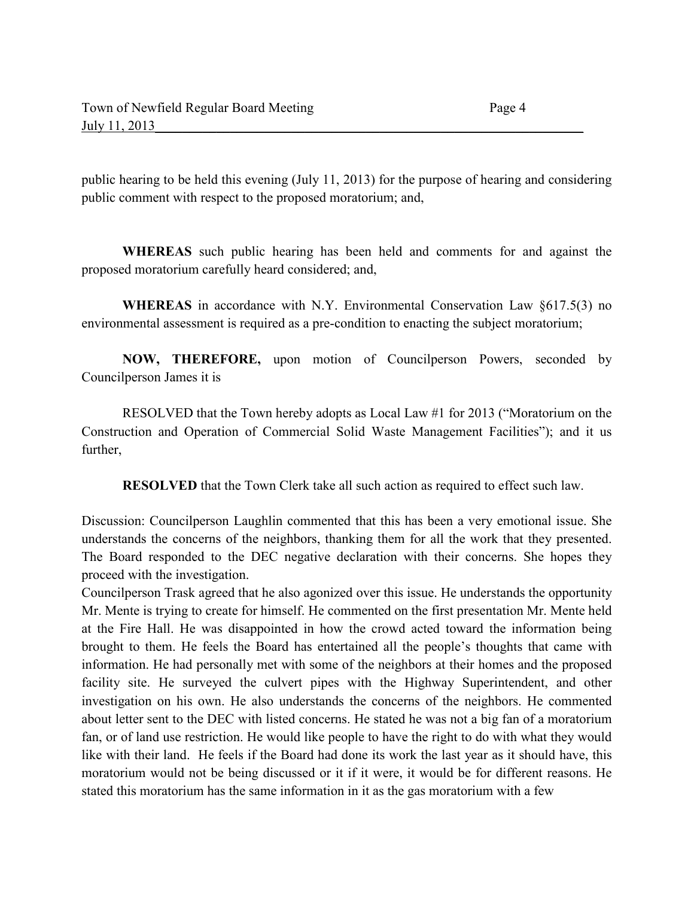public hearing to be held this evening (July 11, 2013) for the purpose of hearing and considering public comment with respect to the proposed moratorium; and,

**WHEREAS** such public hearing has been held and comments for and against the proposed moratorium carefully heard considered; and,

**WHEREAS** in accordance with N.Y. Environmental Conservation Law §617.5(3) no environmental assessment is required as a pre-condition to enacting the subject moratorium;

**NOW, THEREFORE,** upon motion of Councilperson Powers, seconded by Councilperson James it is

 RESOLVED that the Town hereby adopts as Local Law #1 for 2013 ("Moratorium on the Construction and Operation of Commercial Solid Waste Management Facilities"); and it us further,

**RESOLVED** that the Town Clerk take all such action as required to effect such law.

Discussion: Councilperson Laughlin commented that this has been a very emotional issue. She understands the concerns of the neighbors, thanking them for all the work that they presented. The Board responded to the DEC negative declaration with their concerns. She hopes they proceed with the investigation.

Councilperson Trask agreed that he also agonized over this issue. He understands the opportunity Mr. Mente is trying to create for himself. He commented on the first presentation Mr. Mente held at the Fire Hall. He was disappointed in how the crowd acted toward the information being brought to them. He feels the Board has entertained all the people's thoughts that came with information. He had personally met with some of the neighbors at their homes and the proposed facility site. He surveyed the culvert pipes with the Highway Superintendent, and other investigation on his own. He also understands the concerns of the neighbors. He commented about letter sent to the DEC with listed concerns. He stated he was not a big fan of a moratorium fan, or of land use restriction. He would like people to have the right to do with what they would like with their land. He feels if the Board had done its work the last year as it should have, this moratorium would not be being discussed or it if it were, it would be for different reasons. He stated this moratorium has the same information in it as the gas moratorium with a few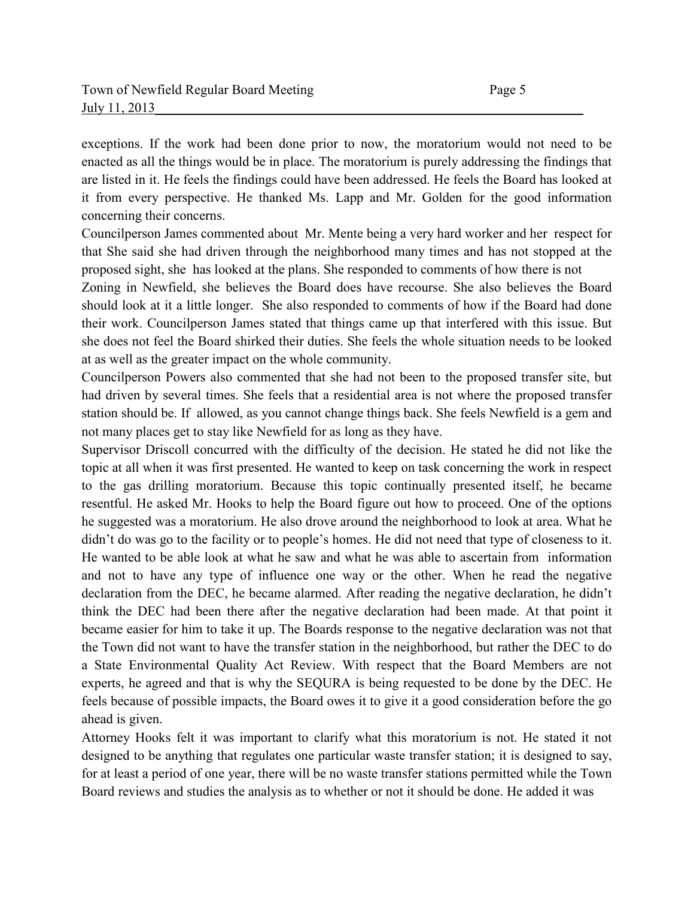exceptions. If the work had been done prior to now, the moratorium would not need to be enacted as all the things would be in place. The moratorium is purely addressing the findings that are listed in it. He feels the findings could have been addressed. He feels the Board has looked at it from every perspective. He thanked Ms. Lapp and Mr. Golden for the good information concerning their concerns.

Councilperson James commented about Mr. Mente being a very hard worker and her respect for that She said she had driven through the neighborhood many times and has not stopped at the proposed sight, she has looked at the plans. She responded to comments of how there is not

Zoning in Newfield, she believes the Board does have recourse. She also believes the Board should look at it a little longer. She also responded to comments of how if the Board had done their work. Councilperson James stated that things came up that interfered with this issue. But she does not feel the Board shirked their duties. She feels the whole situation needs to be looked at as well as the greater impact on the whole community.

Councilperson Powers also commented that she had not been to the proposed transfer site, but had driven by several times. She feels that a residential area is not where the proposed transfer station should be. If allowed, as you cannot change things back. She feels Newfield is a gem and not many places get to stay like Newfield for as long as they have.

Supervisor Driscoll concurred with the difficulty of the decision. He stated he did not like the topic at all when it was first presented. He wanted to keep on task concerning the work in respect to the gas drilling moratorium. Because this topic continually presented itself, he became resentful. He asked Mr. Hooks to help the Board figure out how to proceed. One of the options he suggested was a moratorium. He also drove around the neighborhood to look at area. What he didn't do was go to the facility or to people's homes. He did not need that type of closeness to it. He wanted to be able look at what he saw and what he was able to ascertain from information and not to have any type of influence one way or the other. When he read the negative declaration from the DEC, he became alarmed. After reading the negative declaration, he didn't think the DEC had been there after the negative declaration had been made. At that point it became easier for him to take it up. The Boards response to the negative declaration was not that the Town did not want to have the transfer station in the neighborhood, but rather the DEC to do a State Environmental Quality Act Review. With respect that the Board Members are not experts, he agreed and that is why the SEQURA is being requested to be done by the DEC. He feels because of possible impacts, the Board owes it to give it a good consideration before the go ahead is given.

Attorney Hooks felt it was important to clarify what this moratorium is not. He stated it not designed to be anything that regulates one particular waste transfer station; it is designed to say, for at least a period of one year, there will be no waste transfer stations permitted while the Town Board reviews and studies the analysis as to whether or not it should be done. He added it was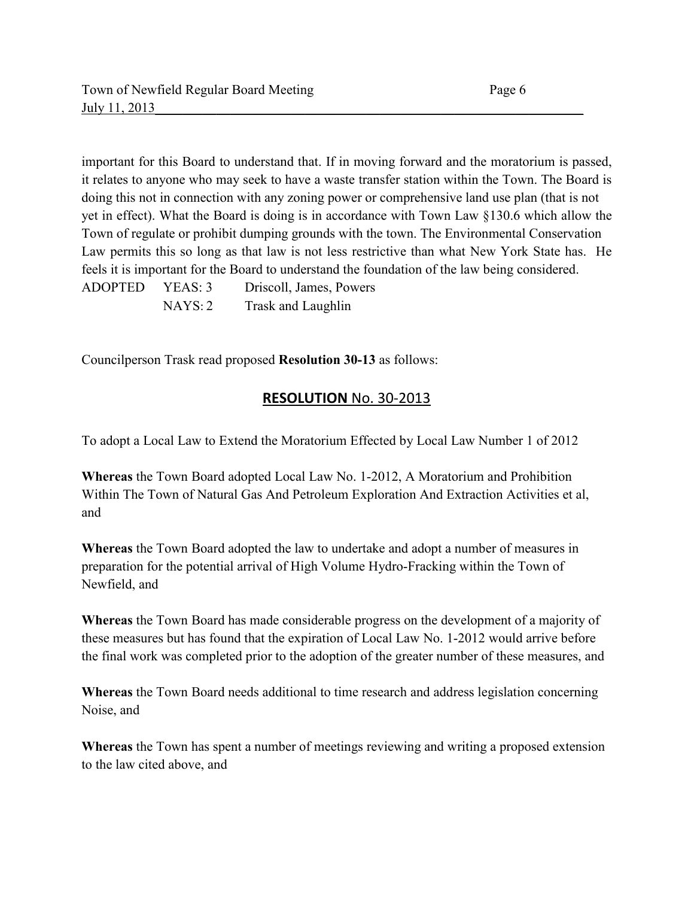important for this Board to understand that. If in moving forward and the moratorium is passed, it relates to anyone who may seek to have a waste transfer station within the Town. The Board is doing this not in connection with any zoning power or comprehensive land use plan (that is not yet in effect). What the Board is doing is in accordance with Town Law §130.6 which allow the Town of regulate or prohibit dumping grounds with the town. The Environmental Conservation Law permits this so long as that law is not less restrictive than what New York State has. He feels it is important for the Board to understand the foundation of the law being considered. ADOPTED YEAS: 3 Driscoll, James, Powers NAYS: 2 Trask and Laughlin

Councilperson Trask read proposed **Resolution 30-13** as follows:

# **RESOLUTION** No. 30-2013

To adopt a Local Law to Extend the Moratorium Effected by Local Law Number 1 of 2012

**Whereas** the Town Board adopted Local Law No. 1-2012, A Moratorium and Prohibition Within The Town of Natural Gas And Petroleum Exploration And Extraction Activities et al, and

**Whereas** the Town Board adopted the law to undertake and adopt a number of measures in preparation for the potential arrival of High Volume Hydro-Fracking within the Town of Newfield, and

**Whereas** the Town Board has made considerable progress on the development of a majority of these measures but has found that the expiration of Local Law No. 1-2012 would arrive before the final work was completed prior to the adoption of the greater number of these measures, and

**Whereas** the Town Board needs additional to time research and address legislation concerning Noise, and

**Whereas** the Town has spent a number of meetings reviewing and writing a proposed extension to the law cited above, and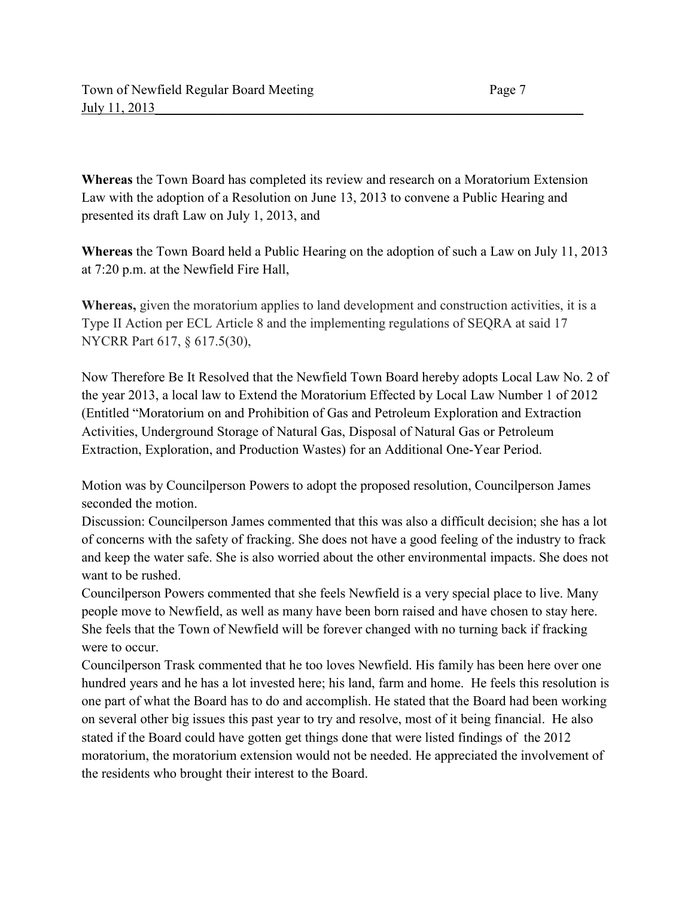**Whereas** the Town Board has completed its review and research on a Moratorium Extension Law with the adoption of a Resolution on June 13, 2013 to convene a Public Hearing and presented its draft Law on July 1, 2013, and

**Whereas** the Town Board held a Public Hearing on the adoption of such a Law on July 11, 2013 at 7:20 p.m. at the Newfield Fire Hall,

**Whereas,** given the moratorium applies to land development and construction activities, it is a Type II Action per ECL Article 8 and the implementing regulations of SEQRA at said 17 NYCRR Part 617, § 617.5(30),

Now Therefore Be It Resolved that the Newfield Town Board hereby adopts Local Law No. 2 of the year 2013, a local law to Extend the Moratorium Effected by Local Law Number 1 of 2012 (Entitled "Moratorium on and Prohibition of Gas and Petroleum Exploration and Extraction Activities, Underground Storage of Natural Gas, Disposal of Natural Gas or Petroleum Extraction, Exploration, and Production Wastes) for an Additional One-Year Period.

Motion was by Councilperson Powers to adopt the proposed resolution, Councilperson James seconded the motion.

Discussion: Councilperson James commented that this was also a difficult decision; she has a lot of concerns with the safety of fracking. She does not have a good feeling of the industry to frack and keep the water safe. She is also worried about the other environmental impacts. She does not want to be rushed.

Councilperson Powers commented that she feels Newfield is a very special place to live. Many people move to Newfield, as well as many have been born raised and have chosen to stay here. She feels that the Town of Newfield will be forever changed with no turning back if fracking were to occur.

Councilperson Trask commented that he too loves Newfield. His family has been here over one hundred years and he has a lot invested here; his land, farm and home. He feels this resolution is one part of what the Board has to do and accomplish. He stated that the Board had been working on several other big issues this past year to try and resolve, most of it being financial. He also stated if the Board could have gotten get things done that were listed findings of the 2012 moratorium, the moratorium extension would not be needed. He appreciated the involvement of the residents who brought their interest to the Board.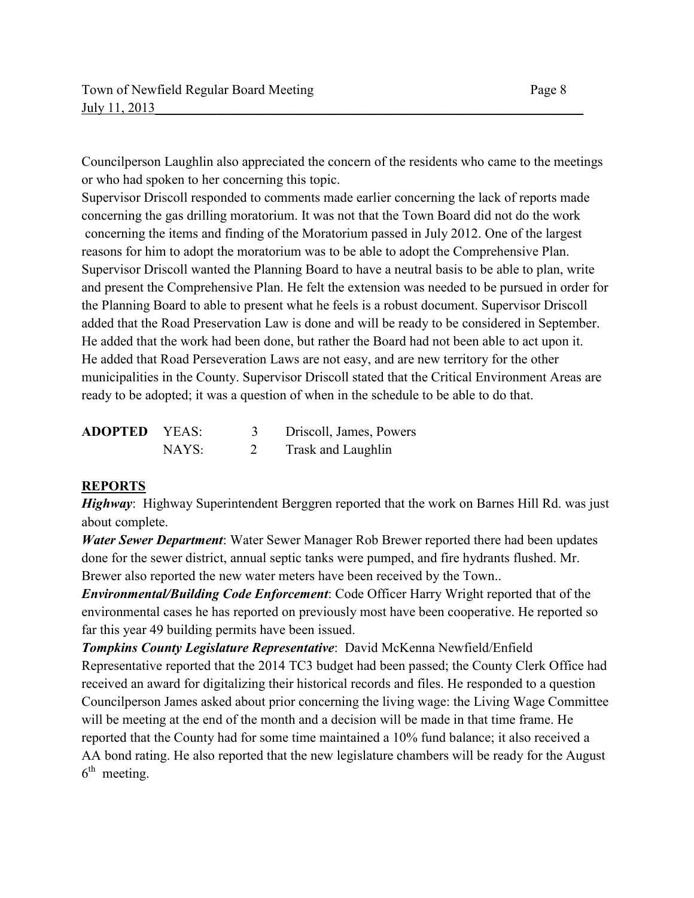Councilperson Laughlin also appreciated the concern of the residents who came to the meetings or who had spoken to her concerning this topic.

Supervisor Driscoll responded to comments made earlier concerning the lack of reports made concerning the gas drilling moratorium. It was not that the Town Board did not do the work concerning the items and finding of the Moratorium passed in July 2012. One of the largest reasons for him to adopt the moratorium was to be able to adopt the Comprehensive Plan. Supervisor Driscoll wanted the Planning Board to have a neutral basis to be able to plan, write and present the Comprehensive Plan. He felt the extension was needed to be pursued in order for the Planning Board to able to present what he feels is a robust document. Supervisor Driscoll added that the Road Preservation Law is done and will be ready to be considered in September. He added that the work had been done, but rather the Board had not been able to act upon it. He added that Road Perseveration Laws are not easy, and are new territory for the other municipalities in the County. Supervisor Driscoll stated that the Critical Environment Areas are ready to be adopted; it was a question of when in the schedule to be able to do that.

| <b>ADOPTED</b> | YEAS: | Driscoll, James, Powers |
|----------------|-------|-------------------------|
|                | NAYS: | Trask and Laughlin      |

## **REPORTS**

*Highway*: Highway Superintendent Berggren reported that the work on Barnes Hill Rd. was just about complete.

*Water Sewer Department*: Water Sewer Manager Rob Brewer reported there had been updates done for the sewer district, annual septic tanks were pumped, and fire hydrants flushed. Mr. Brewer also reported the new water meters have been received by the Town..

*Environmental/Building Code Enforcement*: Code Officer Harry Wright reported that of the environmental cases he has reported on previously most have been cooperative. He reported so far this year 49 building permits have been issued.

*Tompkins County Legislature Representative*: David McKenna Newfield/Enfield Representative reported that the 2014 TC3 budget had been passed; the County Clerk Office had received an award for digitalizing their historical records and files. He responded to a question Councilperson James asked about prior concerning the living wage: the Living Wage Committee will be meeting at the end of the month and a decision will be made in that time frame. He reported that the County had for some time maintained a 10% fund balance; it also received a AA bond rating. He also reported that the new legislature chambers will be ready for the August  $6<sup>th</sup>$  meeting.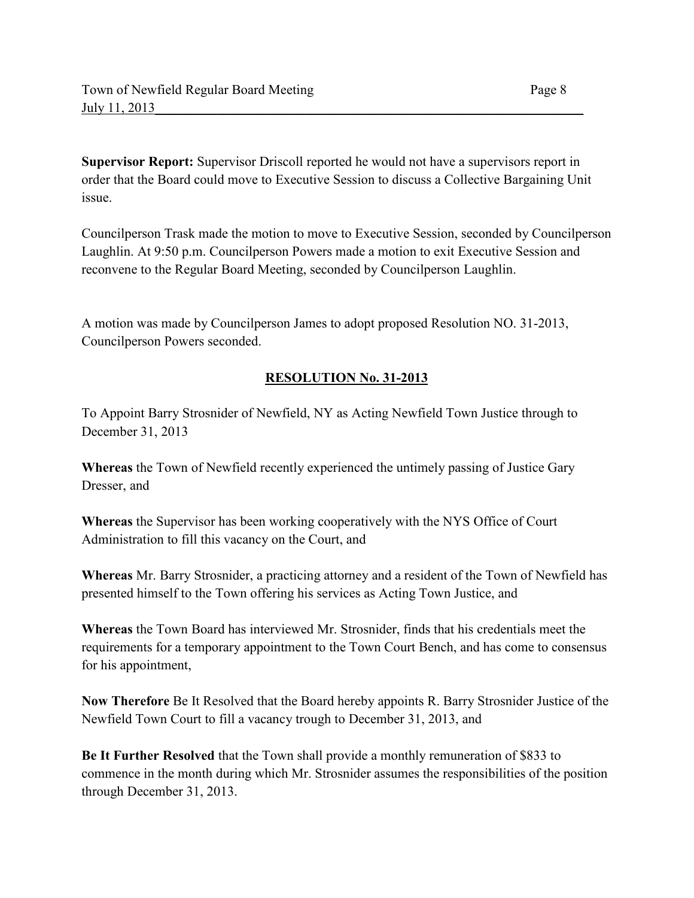**Supervisor Report:** Supervisor Driscoll reported he would not have a supervisors report in order that the Board could move to Executive Session to discuss a Collective Bargaining Unit issue.

Councilperson Trask made the motion to move to Executive Session, seconded by Councilperson Laughlin. At 9:50 p.m. Councilperson Powers made a motion to exit Executive Session and reconvene to the Regular Board Meeting, seconded by Councilperson Laughlin.

A motion was made by Councilperson James to adopt proposed Resolution NO. 31-2013, Councilperson Powers seconded.

## **RESOLUTION No. 31-2013**

To Appoint Barry Strosnider of Newfield, NY as Acting Newfield Town Justice through to December 31, 2013

**Whereas** the Town of Newfield recently experienced the untimely passing of Justice Gary Dresser, and

**Whereas** the Supervisor has been working cooperatively with the NYS Office of Court Administration to fill this vacancy on the Court, and

**Whereas** Mr. Barry Strosnider, a practicing attorney and a resident of the Town of Newfield has presented himself to the Town offering his services as Acting Town Justice, and

**Whereas** the Town Board has interviewed Mr. Strosnider, finds that his credentials meet the requirements for a temporary appointment to the Town Court Bench, and has come to consensus for his appointment,

**Now Therefore** Be It Resolved that the Board hereby appoints R. Barry Strosnider Justice of the Newfield Town Court to fill a vacancy trough to December 31, 2013, and

**Be It Further Resolved** that the Town shall provide a monthly remuneration of \$833 to commence in the month during which Mr. Strosnider assumes the responsibilities of the position through December 31, 2013.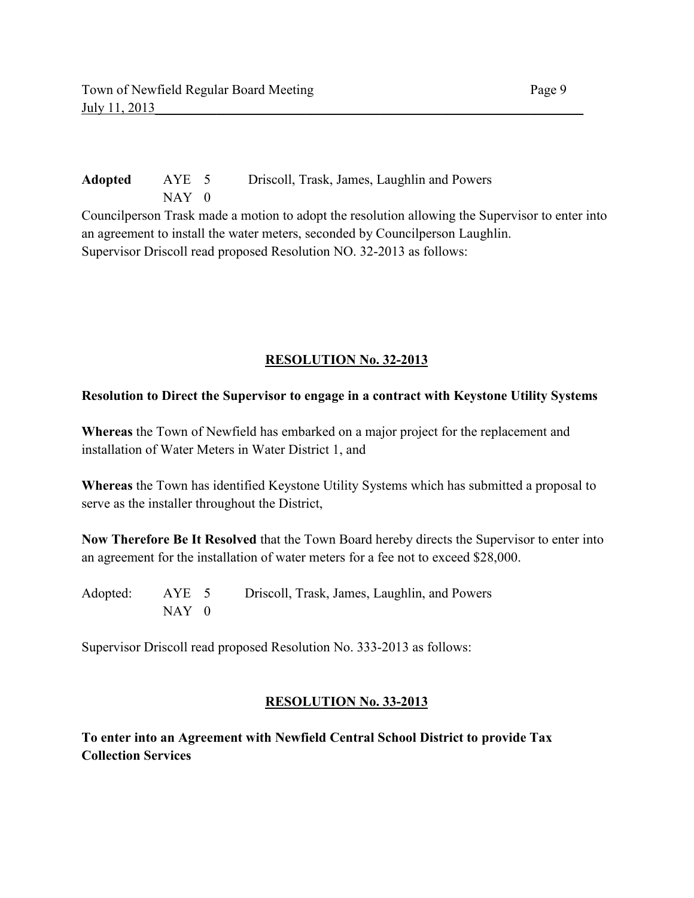**Adopted** AYE 5 Driscoll, Trask, James, Laughlin and Powers NAY 0 Councilperson Trask made a motion to adopt the resolution allowing the Supervisor to enter into an agreement to install the water meters, seconded by Councilperson Laughlin. Supervisor Driscoll read proposed Resolution NO. 32-2013 as follows:

## **RESOLUTION No. 32-2013**

#### **Resolution to Direct the Supervisor to engage in a contract with Keystone Utility Systems**

**Whereas** the Town of Newfield has embarked on a major project for the replacement and installation of Water Meters in Water District 1, and

**Whereas** the Town has identified Keystone Utility Systems which has submitted a proposal to serve as the installer throughout the District,

**Now Therefore Be It Resolved** that the Town Board hereby directs the Supervisor to enter into an agreement for the installation of water meters for a fee not to exceed \$28,000.

Adopted: AYE 5 Driscoll, Trask, James, Laughlin, and Powers  $NAY$  0

Supervisor Driscoll read proposed Resolution No. 333-2013 as follows:

#### **RESOLUTION No. 33-2013**

**To enter into an Agreement with Newfield Central School District to provide Tax Collection Services**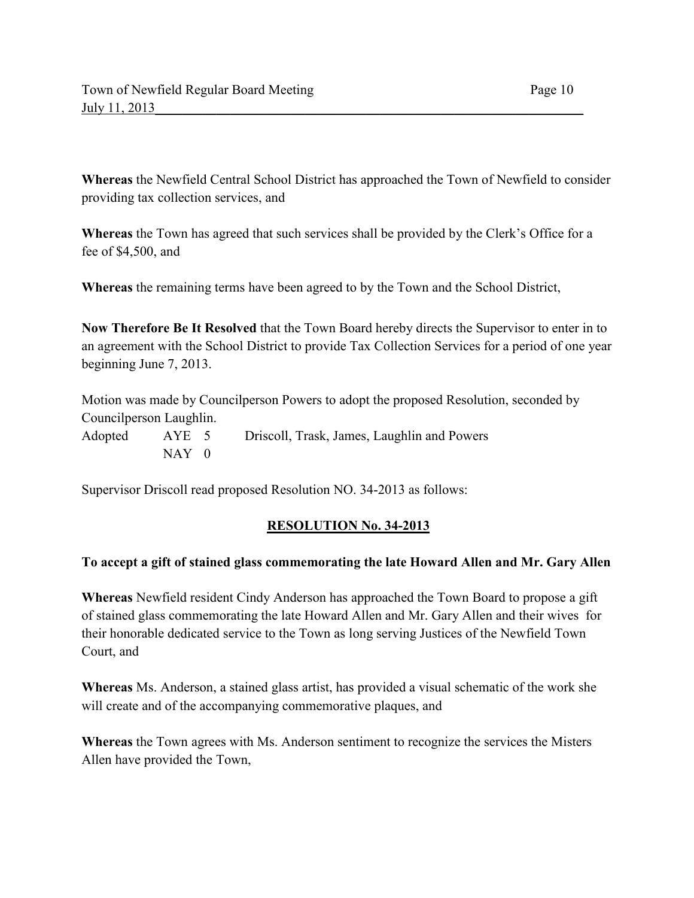**Whereas** the Newfield Central School District has approached the Town of Newfield to consider providing tax collection services, and

**Whereas** the Town has agreed that such services shall be provided by the Clerk's Office for a fee of \$4,500, and

**Whereas** the remaining terms have been agreed to by the Town and the School District,

**Now Therefore Be It Resolved** that the Town Board hereby directs the Supervisor to enter in to an agreement with the School District to provide Tax Collection Services for a period of one year beginning June 7, 2013.

Motion was made by Councilperson Powers to adopt the proposed Resolution, seconded by Councilperson Laughlin.

Adopted AYE 5 Driscoll, Trask, James, Laughlin and Powers NAY 0

Supervisor Driscoll read proposed Resolution NO. 34-2013 as follows:

## **RESOLUTION No. 34-2013**

#### **To accept a gift of stained glass commemorating the late Howard Allen and Mr. Gary Allen**

**Whereas** Newfield resident Cindy Anderson has approached the Town Board to propose a gift of stained glass commemorating the late Howard Allen and Mr. Gary Allen and their wives for their honorable dedicated service to the Town as long serving Justices of the Newfield Town Court, and

**Whereas** Ms. Anderson, a stained glass artist, has provided a visual schematic of the work she will create and of the accompanying commemorative plaques, and

**Whereas** the Town agrees with Ms. Anderson sentiment to recognize the services the Misters Allen have provided the Town,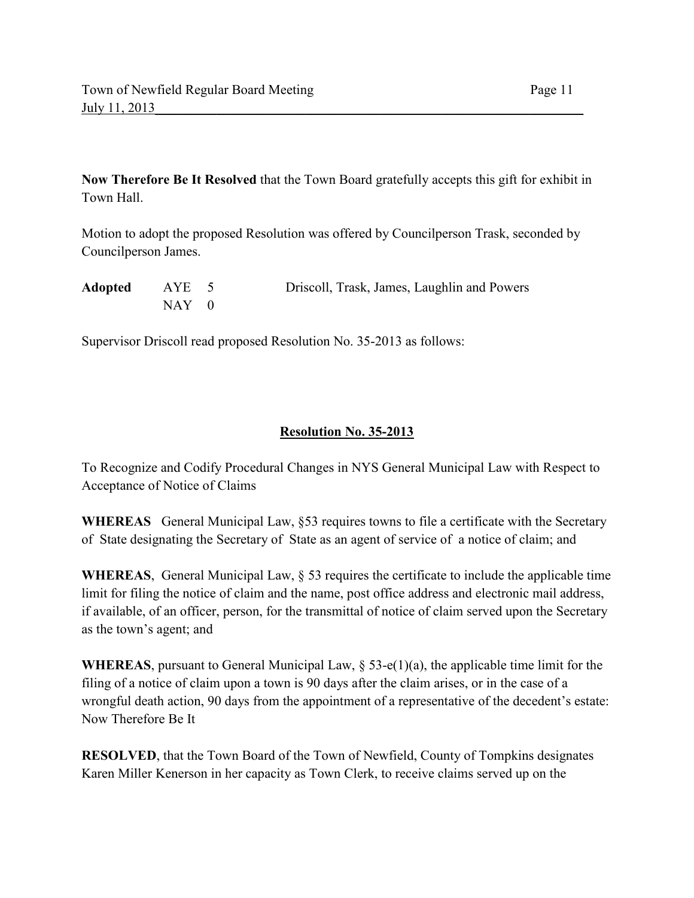**Now Therefore Be It Resolved** that the Town Board gratefully accepts this gift for exhibit in Town Hall.

Motion to adopt the proposed Resolution was offered by Councilperson Trask, seconded by Councilperson James.

| Adopted | AYE 5 | Driscoll, Trask, James, Laughlin and Powers |
|---------|-------|---------------------------------------------|
|         | NAY 0 |                                             |

Supervisor Driscoll read proposed Resolution No. 35-2013 as follows:

#### **Resolution No. 35-2013**

To Recognize and Codify Procedural Changes in NYS General Municipal Law with Respect to Acceptance of Notice of Claims

**WHEREAS** General Municipal Law, §53 requires towns to file a certificate with the Secretary of State designating the Secretary of State as an agent of service of a notice of claim; and

**WHEREAS**, General Municipal Law, § 53 requires the certificate to include the applicable time limit for filing the notice of claim and the name, post office address and electronic mail address, if available, of an officer, person, for the transmittal of notice of claim served upon the Secretary as the town's agent; and

**WHEREAS**, pursuant to General Municipal Law, § 53-e(1)(a), the applicable time limit for the filing of a notice of claim upon a town is 90 days after the claim arises, or in the case of a wrongful death action, 90 days from the appointment of a representative of the decedent's estate: Now Therefore Be It

**RESOLVED**, that the Town Board of the Town of Newfield, County of Tompkins designates Karen Miller Kenerson in her capacity as Town Clerk, to receive claims served up on the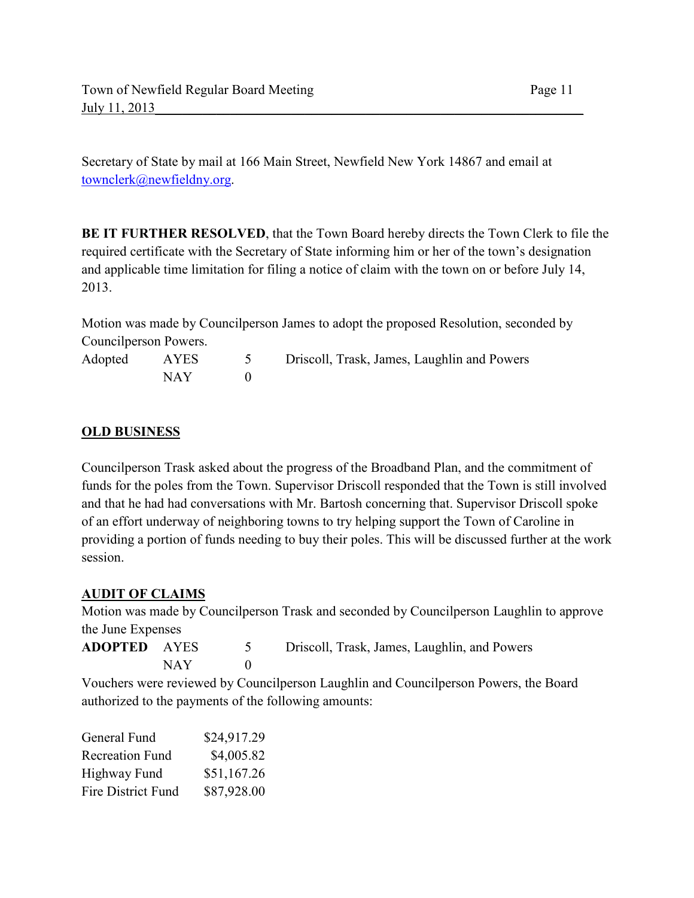Secretary of State by mail at 166 Main Street, Newfield New York 14867 and email at townclerk@newfieldny.org.

**BE IT FURTHER RESOLVED**, that the Town Board hereby directs the Town Clerk to file the required certificate with the Secretary of State informing him or her of the town's designation and applicable time limitation for filing a notice of claim with the town on or before July 14, 2013.

Motion was made by Councilperson James to adopt the proposed Resolution, seconded by Councilperson Powers.

| Adopted | AYES | Driscoll, Trask, James, Laughlin and Powers |
|---------|------|---------------------------------------------|
|         | NAY  |                                             |

## **OLD BUSINESS**

Councilperson Trask asked about the progress of the Broadband Plan, and the commitment of funds for the poles from the Town. Supervisor Driscoll responded that the Town is still involved and that he had had conversations with Mr. Bartosh concerning that. Supervisor Driscoll spoke of an effort underway of neighboring towns to try helping support the Town of Caroline in providing a portion of funds needing to buy their poles. This will be discussed further at the work session.

## **AUDIT OF CLAIMS**

Motion was made by Councilperson Trask and seconded by Councilperson Laughlin to approve the June Expenses

| <b>ADOPTED AYES</b> |      | Driscoll, Trask, James, Laughlin, and Powers |
|---------------------|------|----------------------------------------------|
|                     | NAY. |                                              |

Vouchers were reviewed by Councilperson Laughlin and Councilperson Powers, the Board authorized to the payments of the following amounts:

| General Fund              | \$24,917.29 |
|---------------------------|-------------|
| <b>Recreation Fund</b>    | \$4,005.82  |
| Highway Fund              | \$51,167.26 |
| <b>Fire District Fund</b> | \$87,928.00 |